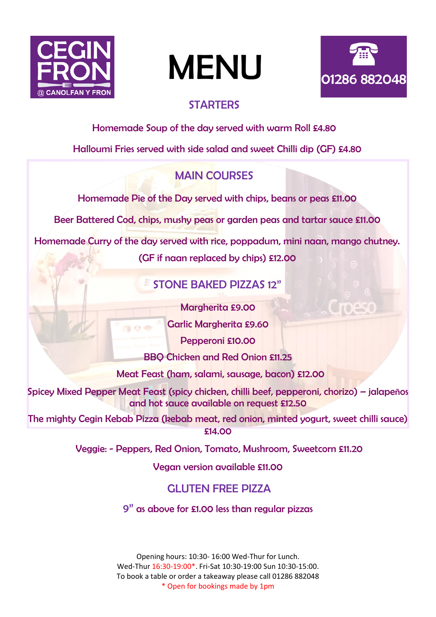

# MENU



### **STARTERS**

Homemade Soup of the day served with warm Roll £4.80

Halloumi Fries served with side salad and sweet Chilli dip (GF) £4.80

# MAIN COURSES

Homemade Pie of the Day served with chips, beans or peas £11.00

Beer Battered Cod, chips, mushy peas or garden peas and tartar sauce £11.00

Homemade Curry of the day served with rice, poppadum, mini naan, mango chutney.

(GF if naan replaced by chips) £12.00

# STONE BAKED PIZZAS 12"

Margherita £9.00

Garlic Margherita £9.60

Pepperoni £10.00

BBQ Chicken and Red Onion £11.25

Meat Feast (ham, salami, sausage, bacon) £12.00

Spicey Mixed Pepper Meat Feast (spicy chicken, chilli beef, pepperoni, chorizo) – jalapeños and hot sauce available on request £12.50

The mighty Cegin Kebab Pizza (kebab meat, red onion, minted yogurt, sweet chilli sauce) £14.00

Veggie: - Peppers, Red Onion, Tomato, Mushroom, Sweetcorn £11.20

Vegan version available £11.00

# GLUTEN FREE PIZZA

9" as above for £1.00 less than regular pizzas

Opening hours: 10:30- 16:00 Wed-Thur for Lunch. Wed-Thur 16:30-19:00\*. Fri-Sat 10:30-19:00 Sun 10:30-15:00. To book a table or order a takeaway please call 01286 882048 \* Open for bookings made by 1pm